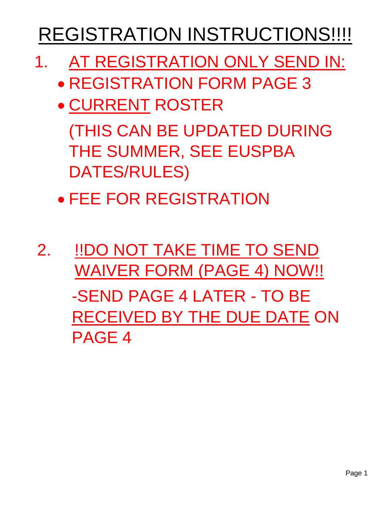# REGISTRATION INSTRUCTIONS!!!!

- 1. AT REGISTRATION ONLY SEND IN:
	- REGISTRATION FORM PAGE 3
	- CURRENT ROSTER

(THIS CAN BE UPDATED DURING THE SUMMER, SEE EUSPBA DATES/RULES)

• FEE FOR REGISTRATION

2. !!DO NOT TAKE TIME TO SEND WAIVER FORM (PAGE 4) NOW!! -SEND PAGE 4 LATER - TO BE RECEIVED BY THE DUE DATE ON PAGE 4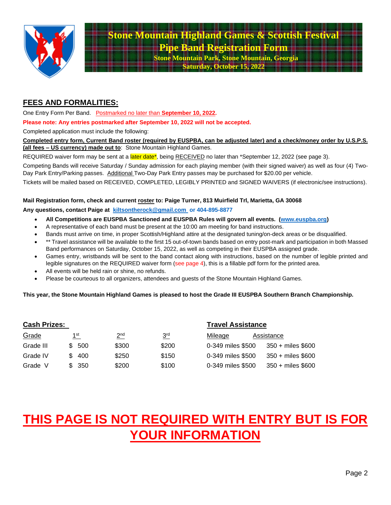

#### **FEES AND FORMALITIES:**

One Entry Form Per Band. Postmarked no later than **September 10, 2022.**

**Please note: Any entries postmarked after September 10, 2022 will not be accepted.**

Completed application must include the following:

**Completed entry form, Current Band roster (required by EUSPBA, can be adjusted later) and a check/money order by U.S.P.S. (all fees – US currency) made out to**: Stone Mountain Highland Games.

REQUIRED waiver form may be sent at a later date\*, being RECEIVED no later than \*September 12, 2022 (see page 3).

Competing Bands will receive Saturday / Sunday admission for each playing member (with their signed waiver) as well as four (4) Two-Day Park Entry/Parking passes. Additional Two-Day Park Entry passes may be purchased for \$20.00 per vehicle.

Tickets will be mailed based on RECEIVED, COMPLETED, LEGIBLY PRINTED and SIGNED WAIVERS (if electronic/see instructions).

#### **Mail Registration form, check and current roster to: Paige Turner, 813 Muirfield Trl, Marietta, GA 30068**

**Any questions, contact Paige at [kiltsontherock@gmail.com](mailto:kiltsontherock@gmail.com) or 404-895-8877** 

- **All Competitions are EUSPBA Sanctioned and EUSPBA Rules will govern all events. [\(www.euspba.org\)](http://www.euspba.org/)**
- A representative of each band must be present at the 10:00 am meeting for band instructions.
- Bands must arrive on time, in proper Scottish/Highland attire at the designated tuning/on-deck areas or be disqualified.
- \*\* Travel assistance will be available to the first 15 out-of-town bands based on entry post-mark and participation in both Massed Band performances on Saturday, October 15, 2022, as well as competing in their EUSPBA assigned grade.
- Games entry, wristbands will be sent to the band contact along with instructions, based on the number of legible printed and legible signatures on the REQUIRED waiver form (see page 4), this is a fillable pdf form for the printed area.
- All events will be held rain or shine, no refunds.
- Please be courteous to all organizers, attendees and guests of the Stone Mountain Highland Games.

**This year, the Stone Mountain Highland Games is pleased to host the Grade III EUSPBA Southern Branch Championship.**

| <b>Cash Prizes:</b> |     |                 |                 |                 | <b>Travel Assistance</b> |                   |
|---------------------|-----|-----------------|-----------------|-----------------|--------------------------|-------------------|
| Grade               |     | 1 <sup>st</sup> | 2 <sub>nd</sub> | 3 <sup>rd</sup> | Mileage                  | Assistance        |
| Grade III           | \$. | 500             | \$300           | \$200           | 0-349 miles \$500        | 350 + miles \$600 |
| Grade IV            | S.  | 400             | \$250           | \$150           | 0-349 miles \$500        | 350 + miles \$600 |
| Grade<br>V          | S.  | 350             | \$200           | \$100           | 0-349 miles \$500        | 350 + miles \$600 |

# **THIS PAGE IS NOT REQUIRED WITH ENTRY BUT IS FOR YOUR INFORMATION**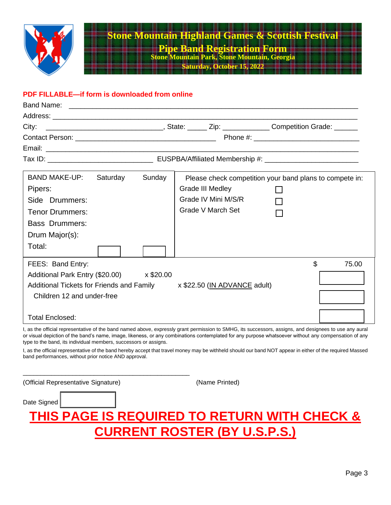

## **Stone Mountain Highland Games & Scottish Festivally Pipe Band Registration Form**

**Stone Mountain Park, Stone Mountain, Georgia Saturday, October 15** 

#### **PDF FILLABLE—if form is downloaded from online**

| City:                                                                  |  |  |                   |                                                         |                |       |
|------------------------------------------------------------------------|--|--|-------------------|---------------------------------------------------------|----------------|-------|
|                                                                        |  |  |                   |                                                         |                |       |
|                                                                        |  |  |                   |                                                         |                |       |
|                                                                        |  |  |                   |                                                         |                |       |
| BAND MAKE-UP: Saturday                                                 |  |  | Sunday            | Please check competition your band plans to compete in: |                |       |
| Pipers:                                                                |  |  |                   | Grade III Medley                                        |                |       |
| Side Drummers:                                                         |  |  |                   | Grade IV Mini M/S/R                                     |                |       |
| <b>Tenor Drummers:</b>                                                 |  |  | Grade V March Set |                                                         |                |       |
| <b>Bass Drummers:</b>                                                  |  |  |                   |                                                         |                |       |
| Drum Major(s):                                                         |  |  |                   |                                                         |                |       |
| Total:                                                                 |  |  |                   |                                                         |                |       |
| FEES: Band Entry:                                                      |  |  |                   |                                                         | $\mathfrak{L}$ | 75.00 |
| Additional Park Entry (\$20.00) x \$20.00                              |  |  |                   |                                                         |                |       |
| Additional Tickets for Friends and Family x \$22.50 (IN ADVANCE adult) |  |  |                   |                                                         |                |       |
| Children 12 and under-free                                             |  |  |                   |                                                         |                |       |
| <b>Total Enclosed:</b>                                                 |  |  |                   |                                                         |                |       |

I, as the official representative of the band named above, expressly grant permission to SMHG, its successors, assigns, and designees to use any aural or visual depiction of the band's name, image, likeness, or any combinations contemplated for any purpose whatsoever without any compensation of any type to the band, its individual members, successors or assigns.

I, as the official representative of the band hereby accept that travel money may be withheld should our band NOT appear in either of the required Massed band performances, without prior notice AND approval.

| (Official Representative Signature) | (Name Printed)                                          |
|-------------------------------------|---------------------------------------------------------|
| Date Signed                         |                                                         |
|                                     | <b>THIS PAGE IS REQUIRED TO RETURN WITH CHECK &amp;</b> |
|                                     | <b>CURRENT ROSTER (BY U.S.P.S.)</b>                     |